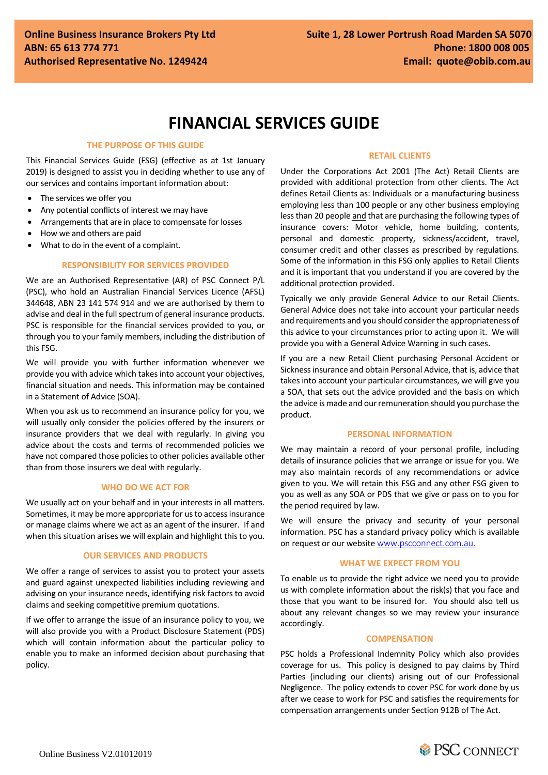# **FINANCIAL SERVICES GUIDE**

# **THE PURPOSE OF THIS GUIDE**

This Financial Services Guide (FSG) (effective as at 1st January 2019) is designed to assist you in deciding whether to use any of our services and contains important information about:

- The services we offer you
- Any potential conflicts of interest we may have
- Arrangements that are in place to compensate for losses
- How we and others are paid
- What to do in the event of a complaint.

# **RESPONSIBILITY FOR SERVICES PROVIDED**

We are an Authorised Representative (AR) of PSC Connect P/L (PSC), who hold an Australian Financial Services Licence (AFSL) 344648, ABN 23 141 574 914 and we are authorised by them to advise and deal in the full spectrum of general insurance products. PSC is responsible for the financial services provided to you, or through you to your family members, including the distribution of this FSG.

We will provide you with further information whenever we provide you with advice which takes into account your objectives, financial situation and needs. This information may be contained in a Statement of Advice (SOA).

When you ask us to recommend an insurance policy for you, we will usually only consider the policies offered by the insurers or insurance providers that we deal with regularly. In giving you advice about the costs and terms of recommended policies we have not compared those policies to other policies available other than from those insurers we deal with regularly.

## **WHO DO WE ACT FOR**

We usually act on your behalf and in your interests in all matters. Sometimes, it may be more appropriate for us to access insurance or manage claims where we act as an agent of the insurer. If and when this situation arises we will explain and highlight this to you.

## **OUR SERVICES AND PRODUCTS**

We offer a range of services to assist you to protect your assets and guard against unexpected liabilities including reviewing and advising on your insurance needs, identifying risk factors to avoid claims and seeking competitive premium quotations.

If we offer to arrange the issue of an insurance policy to you, we will also provide you with a Product Disclosure Statement (PDS) which will contain information about the particular policy to enable you to make an informed decision about purchasing that policy.

# **RETAIL CLIENTS**

Under the Corporations Act 2001 (The Act) Retail Clients are provided with additional protection from other clients. The Act defines Retail Clients as: Individuals or a manufacturing business employing less than 100 people or any other business employing less than 20 people and that are purchasing the following types of insurance covers: Motor vehicle, home building, contents, personal and domestic property, sickness/accident, travel, consumer credit and other classes as prescribed by regulations. Some of the information in this FSG only applies to Retail Clients and it is important that you understand if you are covered by the additional protection provided.

Typically we only provide General Advice to our Retail Clients. General Advice does not take into account your particular needs and requirements and you should consider the appropriateness of this advice to your circumstances prior to acting upon it. We will provide you with a General Advice Warning in such cases.

If you are a new Retail Client purchasing Personal Accident or Sickness insurance and obtain Personal Advice, that is, advice that takes into account your particular circumstances, we will give you a SOA, that sets out the advice provided and the basis on which the advice is made and our remuneration should you purchase the product.

# **PERSONAL INFORMATION**

We may maintain a record of your personal profile, including details of insurance policies that we arrange or issue for you. We may also maintain records of any recommendations or advice given to you. We will retain this FSG and any other FSG given to you as well as any SOA or PDS that we give or pass on to you for the period required by law.

We will ensure the privacy and security of your personal information. PSC has a standard privacy policy which is available on request or our website www.pscconnect.com.au.

# **WHAT WE EXPECT FROM YOU**

To enable us to provide the right advice we need you to provide us with complete information about the risk(s) that you face and those that you want to be insured for. You should also tell us about any relevant changes so we may review your insurance accordingly.

# **COMPENSATION**

PSC holds a Professional Indemnity Policy which also provides coverage for us. This policy is designed to pay claims by Third Parties (including our clients) arising out of our Professional Negligence. The policy extends to cover PSC for work done by us after we cease to work for PSC and satisfies the requirements for compensation arrangements under Section 912B of The Act.